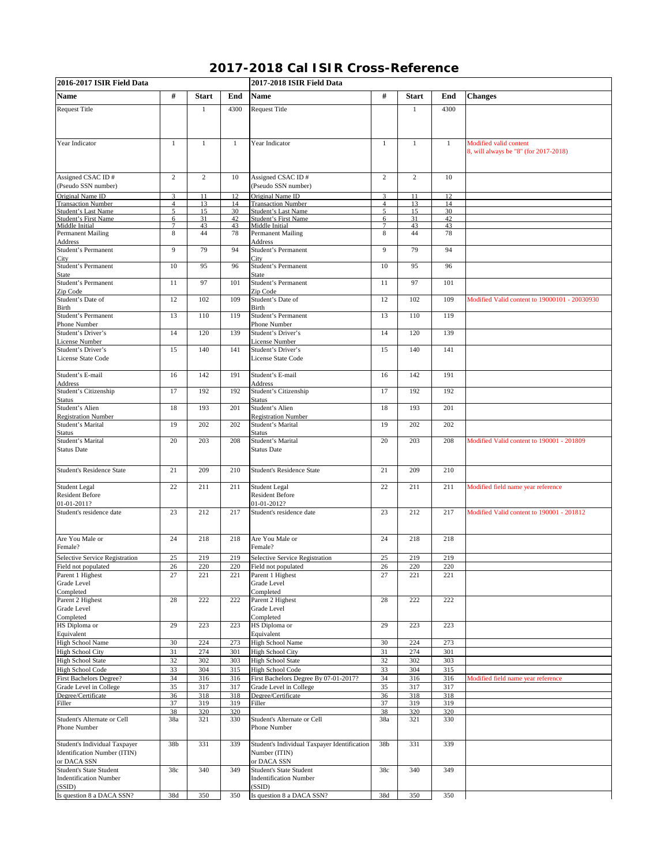## **2017-2018 Cal ISIR Cross-Reference**

| 2016-2017 ISIR Field Data                       |                     |                |            | 2017-2018 ISIR Field Data                       |                     |                |              |                                                                 |  |
|-------------------------------------------------|---------------------|----------------|------------|-------------------------------------------------|---------------------|----------------|--------------|-----------------------------------------------------------------|--|
| <b>Name</b>                                     | #                   | <b>Start</b>   | End        | <b>Name</b>                                     | #                   | <b>Start</b>   | End          | <b>Changes</b>                                                  |  |
| <b>Request Title</b>                            |                     | 1              | 4300       | <b>Request Title</b>                            |                     | $\mathbf{1}$   | 4300         |                                                                 |  |
|                                                 |                     |                |            |                                                 |                     |                |              |                                                                 |  |
|                                                 |                     |                |            |                                                 |                     |                |              |                                                                 |  |
| Year Indicator                                  | $\mathbf{1}$        | $\mathbf{1}$   | 1          | Year Indicator                                  | $\mathbf{1}$        | $\mathbf{1}$   | $\mathbf{1}$ | Modified valid content<br>8, will always be "8" (for 2017-2018) |  |
| Assigned CSAC ID#                               | $\overline{c}$      | $\overline{c}$ | 10         | Assigned CSAC ID#                               | $\overline{c}$      | $\overline{c}$ | 10           |                                                                 |  |
| (Pseudo SSN number)                             |                     |                |            | (Pseudo SSN number)                             |                     |                |              |                                                                 |  |
| Original Name ID<br><b>Transaction Number</b>   | 3<br>$\overline{4}$ | 11<br>13       | 12<br>14   | Original Name ID<br><b>Transaction Number</b>   | 3<br>$\overline{4}$ | 11<br>13       | 12<br>14     |                                                                 |  |
| <b>Student's Last Name</b>                      | 5                   | 15             | 30         | Student's Last Name                             | 5                   | 15             | 30           |                                                                 |  |
| <b>Student's First Name</b>                     | 6                   | 31             | 42         | Student's First Name                            | 6                   | 31             | 42           |                                                                 |  |
| Middle Initial<br><b>Permanent Mailing</b>      | 7<br>8              | 43<br>44       | 43<br>78   | Middle Initial<br><b>Permanent Mailing</b>      | 7<br>$\,$ 8 $\,$    | 43<br>44       | 43<br>78     |                                                                 |  |
| Address                                         |                     |                |            | Address                                         |                     |                |              |                                                                 |  |
| Student's Permanent<br>City                     | 9                   | 79             | 94         | Student's Permanent<br>City                     | 9                   | 79             | 94           |                                                                 |  |
| Student's Permanent<br>State                    | 10                  | 95             | 96         | Student's Permanent<br>State                    | 10                  | 95             | 96           |                                                                 |  |
| Student's Permanent                             | 11                  | 97             | 101        | Student's Permanent                             | 11                  | 97             | 101          |                                                                 |  |
| Zip Code<br>Student's Date of                   | 12                  | 102            | 109        | Zip Code<br>Student's Date of                   | 12                  | 102            | 109          | Modified Valid content to 19000101 - 20030930                   |  |
| Birth<br>Student's Permanent                    | 13                  | 110            | 119        | Birth<br>Student's Permanent                    | 13                  | 110            | 119          |                                                                 |  |
| Phone Number                                    |                     |                |            | Phone Number                                    |                     |                |              |                                                                 |  |
| Student's Driver's<br>License Number            | 14                  | 120            | 139        | Student's Driver's<br>License Number            | 14                  | 120            | 139          |                                                                 |  |
| Student's Driver's<br>License State Code        | 15                  | 140            | 141        | Student's Driver's<br>License State Code        | 15                  | 140            | 141          |                                                                 |  |
|                                                 |                     |                |            |                                                 |                     |                |              |                                                                 |  |
| Student's E-mail<br>Address                     | 16                  | 142            | 191        | Student's E-mail<br>Address                     | 16                  | 142            | 191          |                                                                 |  |
| Student's Citizenship<br><b>Status</b>          | 17                  | 192            | 192        | Student's Citizenship<br>Status                 | 17                  | 192            | 192          |                                                                 |  |
| Student's Alien                                 | 18                  | 193            | 201        | Student's Alien                                 | 18                  | 193            | 201          |                                                                 |  |
| <b>Registration Number</b><br>Student's Marital | 19                  | 202            | 202        | <b>Registration Number</b><br>Student's Marital | 19                  | 202            | 202          |                                                                 |  |
| Status<br>Student's Marital                     | 20                  | 203            | 208        | Status<br>Student's Marital                     | 20                  | 203            | 208          | Modified Valid content to 190001 - 201809                       |  |
| <b>Status Date</b>                              |                     |                |            | Status Date                                     |                     |                |              |                                                                 |  |
| <b>Student's Residence State</b>                | 21                  | 209            | 210        | <b>Student's Residence State</b>                | 21                  | 209            | 210          |                                                                 |  |
| Student Legal<br><b>Resident Before</b>         | 22                  | 211            | 211        | Student Legal<br><b>Resident Before</b>         | 22                  | 211            | 211          | Modified field name year reference                              |  |
| 01-01-2011?                                     |                     |                |            | 01-01-2012?                                     |                     |                |              |                                                                 |  |
| Student's residence date                        | 23                  | 212            | 217        | Student's residence date                        | 23                  | 212            | 217          | Modified Valid content to 190001 - 201812                       |  |
| Are You Male or<br>Female?                      | 24                  | 218            | 218        | Are You Male or<br>Female?                      | 24                  | 218            | 218          |                                                                 |  |
| Selective Service Registration                  | 25                  | 219            | 219        | Selective Service Registration                  | 25                  | 219            | 219          |                                                                 |  |
| Field not populated                             | 26                  | 220            | 220        | Field not populated                             | 26                  | 220            | 220          |                                                                 |  |
| Parent 1 Highest<br>Grade Level                 | 27                  | 221            | 221        | Parent 1 Highest<br>Grade Level                 | 27                  | 221            | 221          |                                                                 |  |
| Completed                                       |                     |                |            | Completed                                       |                     |                |              |                                                                 |  |
| Parent 2 Highest                                | 28                  | 222            | 222        | Parent 2 Highest                                | 28                  | 222            | 222          |                                                                 |  |
| Grade Level                                     |                     |                |            | Grade Level                                     |                     |                |              |                                                                 |  |
| Completed<br>HS Diploma or                      | 29                  | 223            | 223        | Completed<br>HS Diploma or                      | 29                  | 223            | 223          |                                                                 |  |
| Equivalent                                      |                     |                |            | Equivalent                                      |                     |                |              |                                                                 |  |
| High School Name<br><b>High School City</b>     | 30<br>31            | 224<br>274     | 273<br>301 | High School Name<br><b>High School City</b>     | 30<br>31            | 224<br>274     | 273<br>301   |                                                                 |  |
| <b>High School State</b>                        | 32                  | 302            | 303        | <b>High School State</b>                        | 32                  | 302            | 303          |                                                                 |  |
| <b>High School Code</b>                         | 33                  | 304            | 315        | <b>High School Code</b>                         | 33                  | 304            | 315          |                                                                 |  |
| <b>First Bachelors Degree?</b>                  | 34                  | 316            | 316        | First Bachelors Degree By 07-01-2017?           | 34                  | 316            | 316          | Modified field name year reference                              |  |
| Grade Level in College                          | 35                  | 317            | 317        | Grade Level in College                          | 35                  | 317            | 317          |                                                                 |  |
| Degree/Certificate                              | 36                  | 318            | 318        | Degree/Certificate                              | 36                  | 318            | 318          |                                                                 |  |
| Filler                                          | 37<br>38            | 319<br>320     | 319<br>320 | Filler                                          | 37<br>38            | 319<br>320     | 319<br>320   |                                                                 |  |
| Student's Alternate or Cell<br>Phone Number     | 38a                 | 321            | 330        | Student's Alternate or Cell<br>Phone Number     | 38a                 | 321            | 330          |                                                                 |  |
| Student's Individual Taxpayer                   | 38b                 | 331            | 339        | Student's Individual Taxpayer Identification    | 38b                 | 331            | 339          |                                                                 |  |
| Identification Number (ITIN)<br>or DACA SSN     |                     |                |            | Number (ITIN)<br>or DACA SSN                    |                     |                |              |                                                                 |  |
| Student's State Student                         | 38c                 | 340            | 349        | <b>Student's State Student</b>                  | 38c                 | 340            | 349          |                                                                 |  |
| <b>Indentification Number</b><br>(SSID)         |                     |                |            | <b>Indentification Number</b><br>(SSID)         |                     |                |              |                                                                 |  |
| Is question 8 a DACA SSN?                       | 38d                 | 350            | 350        | Is question 8 a DACA SSN?                       | 38d                 | 350            | 350          |                                                                 |  |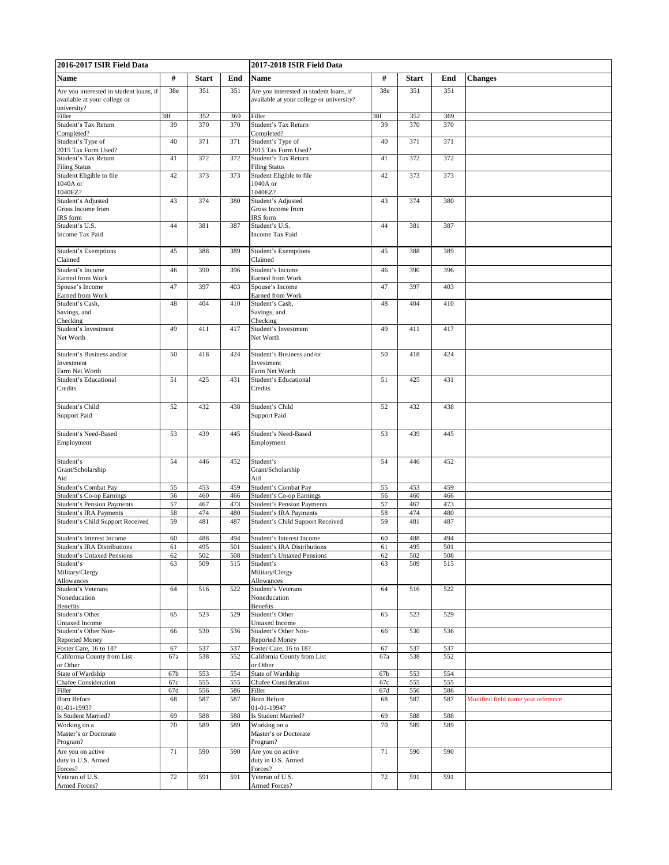| 2016-2017 ISIR Field Data                             |            |              |            | 2017-2018 ISIR Field Data                               |            |              |            |                                    |
|-------------------------------------------------------|------------|--------------|------------|---------------------------------------------------------|------------|--------------|------------|------------------------------------|
| <b>Name</b>                                           | #          | <b>Start</b> | End        | <b>Name</b>                                             | $\#$       | <b>Start</b> | End        | <b>Changes</b>                     |
| Are you interested in student loans, if               | 38e        | 351          | 351        | Are you interested in student loans, if                 | 38e        | 351          | 351        |                                    |
| available at your college or                          |            |              |            | available at your college or university?                |            |              |            |                                    |
| university?<br>Filler                                 | 38f        | 352          | 369        | Filler                                                  | 38f        | 352          | 369        |                                    |
| Student's Tax Return                                  | 39         | 370          | 370        | Student's Tax Return                                    | 39         | 370          | 370        |                                    |
| Completed?                                            |            |              |            | Completed?                                              |            |              |            |                                    |
| Student's Type of<br>2015 Tax Form Used?              | 40         | 371          | 371        | Student's Type of<br>2015 Tax Form Used?                | 40         | 371          | 371        |                                    |
| Student's Tax Return                                  | 41         | 372          | 372        | Student's Tax Return                                    | 41         | 372          | 372        |                                    |
| <b>Filing Status</b>                                  | 42         |              |            | <b>Filing Status</b>                                    |            |              |            |                                    |
| Student Eligible to file<br>1040A or                  |            | 373          | 373        | Student Eligible to file<br>1040A or                    | 42         | 373          | 373        |                                    |
| 1040EZ?                                               |            |              |            | 1040EZ?                                                 |            |              |            |                                    |
| Student's Adjusted                                    | 43         | 374          | 380        | Student's Adjusted                                      | 43         | 374          | 380        |                                    |
| Gross Income from<br>IRS form                         |            |              |            | Gross Income from<br>IRS form                           |            |              |            |                                    |
| Student's U.S.                                        | 44         | 381          | 387        | Student's U.S.                                          | 44         | 381          | 387        |                                    |
| <b>Income Tax Paid</b>                                |            |              |            | Income Tax Paid                                         |            |              |            |                                    |
| <b>Student's Exemptions</b>                           | 45         | 388          | 389        | <b>Student's Exemptions</b>                             | 45         | 388          | 389        |                                    |
| Claimed                                               |            |              |            | Claimed                                                 |            |              |            |                                    |
| Student's Income<br>Earned from Work                  | 46         | 390          | 396        | Student's Income<br>Earned from Work                    | 46         | 390          | 396        |                                    |
| Spouse's Income                                       | 47         | 397          | 403        | Spouse's Income                                         | 47         | 397          | 403        |                                    |
| Earned from Work                                      |            |              |            | Earned from Work                                        |            |              |            |                                    |
| Student's Cash,<br>Savings, and                       | 48         | 404          | 410        | Student's Cash,<br>Savings, and                         | 48         | 404          | 410        |                                    |
| Checking                                              |            |              |            | Checking                                                |            |              |            |                                    |
| Student's Investment                                  | 49         | 411          | 417        | Student's Investment                                    | 49         | 411          | 417        |                                    |
| Net Worth                                             |            |              |            | Net Worth                                               |            |              |            |                                    |
| Student's Business and/or                             | 50         | 418          | 424        | Student's Business and/or                               | 50         | 418          | 424        |                                    |
| Investment                                            |            |              |            | Investment                                              |            |              |            |                                    |
| Farm Net Worth<br>Student's Educational               | 51         | 425          | 431        | Farm Net Worth<br>Student's Educational                 | 51         | 425          | 431        |                                    |
| Credits                                               |            |              |            | Credits                                                 |            |              |            |                                    |
|                                                       |            |              |            |                                                         |            |              |            |                                    |
| Student's Child<br><b>Support Paid</b>                | 52         | 432          | 438        | Student's Child<br><b>Support Paid</b>                  | 52         | 432          | 438        |                                    |
|                                                       |            |              |            |                                                         |            |              |            |                                    |
| Student's Need-Based                                  | 53         | 439          | 445        | Student's Need-Based                                    | 53         | 439          | 445        |                                    |
| Employment                                            |            |              |            | Employment                                              |            |              |            |                                    |
| Student's                                             | 54         | 446          | 452        | Student's                                               | 54         | 446          | 452        |                                    |
| Grant/Scholarship                                     |            |              |            | Grant/Scholarship                                       |            |              |            |                                    |
| Aid                                                   |            |              |            | Aid                                                     |            |              |            |                                    |
| Student's Combat Pay<br>Student's Co-op Earnings      | 55<br>56   | 453<br>460   | 459<br>466 | Student's Combat Pay<br><b>Student's Co-op Earnings</b> | 55<br>56   | 453<br>460   | 459<br>466 |                                    |
| <b>Student's Pension Payments</b>                     | 57         | 467          | 473        | <b>Student's Pension Payments</b>                       | 57         | 467          | 473        |                                    |
| <b>Student's IRA Payments</b>                         | 58         | 474          | 480        | Student's IRA Payments                                  | 58         | 474          | 480        |                                    |
| Student's Child Support Received                      | 59         | 481          | 487        | Student's Child Support Received                        | 59         | 481          | 487        |                                    |
| Student's Interest Income                             | 60         | 488          | 494        | Student's Interest Income                               | 60         | 488          | 494        |                                    |
| Student's IRA Distributions                           | 61         | 495          | 501        | Student's IRA Distributions                             | 61         | 495          | 501        |                                    |
| <b>Student's Untaxed Pensions</b><br>Student's        | 62<br>63   | 502<br>509   | 508<br>515 | <b>Student's Untaxed Pensions</b><br>Student's          | 62<br>63   | 502<br>509   | 508<br>515 |                                    |
| Military/Clergy                                       |            |              |            | Military/Clergy                                         |            |              |            |                                    |
| <b>Allowances</b>                                     |            |              |            | Allowances                                              |            |              |            |                                    |
| Student's Veterans<br>Noneducation                    | 64         | 516          | 522        | Student's Veterans<br>Noneducation                      | 64         | 516          | 522        |                                    |
| <b>Benefits</b>                                       |            |              |            | Benefits                                                |            |              |            |                                    |
| Student's Other<br><b>Untaxed Income</b>              | 65         | 523          | 529        | Student's Other<br>Untaxed Income                       | 65         | 523          | 529        |                                    |
| Student's Other Non-                                  | 66         | 530          | 536        | Student's Other Non-                                    | 66         | 530          | 536        |                                    |
| <b>Reported Money</b>                                 |            |              |            | Reported Money                                          |            |              |            |                                    |
| Foster Care, 16 to 18?<br>California County from List | 67<br>67a  | 537<br>538   | 537<br>552 | Foster Care, 16 to 18?<br>California County from List   | 67<br>67a  | 537<br>538   | 537<br>552 |                                    |
| or Other                                              |            |              |            | or Other                                                |            |              |            |                                    |
| State of Wardship                                     | 67b        | 553          | 554        | State of Wardship                                       | 67b        | 553          | 554        |                                    |
| <b>Chafee Consideration</b><br>Filler                 | 67c<br>67d | 555<br>556   | 555<br>586 | <b>Chafee Consideration</b><br>Filler                   | 67c<br>67d | 555<br>556   | 555<br>586 |                                    |
| <b>Born Before</b>                                    | 68         | 587          | 587        | <b>Born Before</b>                                      | 68         | 587          | 587        | Modified field name year reference |
| 01-01-1993?                                           |            |              |            | 01-01-1994?                                             |            |              |            |                                    |
| Is Student Married?<br>Working on a                   | 69<br>70   | 588<br>589   | 588<br>589 | Is Student Married?<br>Working on a                     | 69<br>70   | 588<br>589   | 588<br>589 |                                    |
| Master's or Doctorate                                 |            |              |            | Master's or Doctorate                                   |            |              |            |                                    |
| Program?                                              |            |              |            | Program?                                                |            |              |            |                                    |
| Are you on active<br>duty in U.S. Armed               | 71         | 590          | 590        | Are you on active<br>duty in U.S. Armed                 | 71         | 590          | 590        |                                    |
| Forces?                                               |            |              |            | Forces?                                                 |            |              |            |                                    |
| Veteran of U.S.<br>Armed Forces?                      | 72         | 591          | 591        | Veteran of U.S.<br>Armed Forces?                        | 72         | 591          | 591        |                                    |
|                                                       |            |              |            |                                                         |            |              |            |                                    |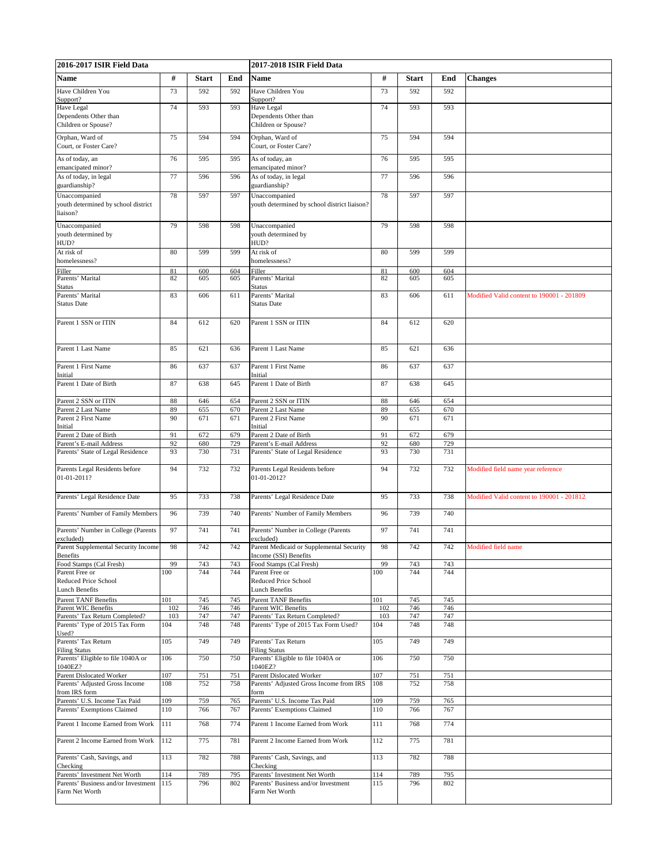| 2016-2017 ISIR Field Data                                        |            |              | 2017-2018 ISIR Field Data |                                                                        |            |              |            |                                           |
|------------------------------------------------------------------|------------|--------------|---------------------------|------------------------------------------------------------------------|------------|--------------|------------|-------------------------------------------|
| Name                                                             | #          | <b>Start</b> | End                       | Name                                                                   | $\#$       | <b>Start</b> | End        | <b>Changes</b>                            |
| Have Children You                                                | 73         | 592          | 592                       | Have Children You                                                      | 73         | 592          | 592        |                                           |
| Support?                                                         |            |              |                           | Support?                                                               |            |              |            |                                           |
| Have Legal<br>Dependents Other than                              | 74         | 593          | 593                       | Have Legal<br>Dependents Other than                                    | 74         | 593          | 593        |                                           |
| Children or Spouse?                                              |            |              |                           | Children or Spouse?                                                    |            |              |            |                                           |
| Orphan, Ward of                                                  | 75         | 594          | 594                       | Orphan, Ward of                                                        | 75         | 594          | 594        |                                           |
| Court, or Foster Care?                                           |            |              |                           | Court, or Foster Care?                                                 |            |              |            |                                           |
| As of today, an                                                  | 76         | 595          | 595                       | As of today, an                                                        | 76         | 595          | 595        |                                           |
| emancipated minor?                                               |            |              |                           | emancipated minor?                                                     |            |              |            |                                           |
| As of today, in legal<br>guardianship?                           | 77         | 596          | 596                       | As of today, in legal<br>guardianship?                                 | 77         | 596          | 596        |                                           |
| Unaccompanied                                                    | 78         | 597          | 597                       | Unaccompanied                                                          | 78         | 597          | 597        |                                           |
| youth determined by school district                              |            |              |                           | youth determined by school district liaison?                           |            |              |            |                                           |
| liaison?                                                         |            |              |                           |                                                                        |            |              |            |                                           |
| Unaccompanied                                                    | 79         | 598          | 598                       | Unaccompanied                                                          | 79         | 598          | 598        |                                           |
| youth determined by<br>HUD?                                      |            |              |                           | youth determined by<br>HUD?                                            |            |              |            |                                           |
| At risk of                                                       | 80         | 599          | 599                       | At risk of                                                             | 80         | 599          | 599        |                                           |
| homelessness?                                                    |            |              |                           | homelessness?                                                          |            |              |            |                                           |
| Filler<br>Parents' Marital                                       | 81<br>82   | 600<br>605   | 604<br>605                | Filler<br>Parents' Marital                                             | 81<br>82   | 600<br>605   | 604<br>605 |                                           |
| Status                                                           |            |              |                           | Status                                                                 |            |              |            |                                           |
| Parents' Marital                                                 | 83         | 606          | 611                       | Parents' Marital                                                       | 83         | 606          | 611        | Modified Valid content to 190001 - 201809 |
| <b>Status Date</b>                                               |            |              |                           | Status Date                                                            |            |              |            |                                           |
| Parent 1 SSN or ITIN                                             | 84         | 612          | 620                       | Parent 1 SSN or ITIN                                                   | 84         | 612          | 620        |                                           |
|                                                                  |            |              |                           |                                                                        |            |              |            |                                           |
|                                                                  |            |              |                           |                                                                        |            |              |            |                                           |
| Parent 1 Last Name                                               | 85         | 621          | 636                       | Parent 1 Last Name                                                     | 85         | 621          | 636        |                                           |
| Parent 1 First Name                                              | 86         | 637          | 637                       | Parent 1 First Name                                                    | 86         | 637          | 637        |                                           |
| Initial                                                          |            |              |                           | Initial                                                                |            |              |            |                                           |
| Parent 1 Date of Birth                                           | 87         | 638          | 645                       | Parent 1 Date of Birth                                                 | 87         | 638          | 645        |                                           |
| Parent 2 SSN or ITIN                                             | 88         | 646          | 654                       | Parent 2 SSN or ITIN                                                   | 88         | 646          | 654        |                                           |
| Parent 2 Last Name                                               | 89         | 655          | 670                       | Parent 2 Last Name                                                     | 89         | 655          | 670        |                                           |
| Parent 2 First Name<br>Initial                                   | 90         | 671          | 671                       | Parent 2 First Name<br>Initial                                         | 90         | 671          | 671        |                                           |
| Parent 2 Date of Birth                                           | 91         | 672          | 679                       | Parent 2 Date of Birth                                                 | 91         | 672          | 679        |                                           |
| Parent's E-mail Address                                          | 92<br>93   | 680          | 729                       | Parent's E-mail Address                                                | 92<br>93   | 680          | 729        |                                           |
| Parents' State of Legal Residence                                |            | 730          | 731                       | Parents' State of Legal Residence                                      |            | 730          | 731        |                                           |
| Parents Legal Residents before                                   | 94         | 732          | 732                       | Parents Legal Residents before                                         | 94         | 732          | 732        | Modified field name year reference        |
| 01-01-2011?                                                      |            |              |                           | 01-01-2012?                                                            |            |              |            |                                           |
| Parents' Legal Residence Date                                    | 95         | 733          | 738                       | Parents' Legal Residence Date                                          | 95         | 733          | 738        | Modified Valid content to 190001 - 201812 |
|                                                                  |            |              |                           |                                                                        |            |              |            |                                           |
| Parents' Number of Family Members                                | 96         | 739          | 740                       | Parents' Number of Family Members                                      | 96         | 739          | 740        |                                           |
| Parents' Number in College (Parents                              | 97         | 741          | 741                       | Parents' Number in College (Parents                                    | 97         | 741          | 741        |                                           |
| excluded)                                                        |            |              |                           | excluded)                                                              |            |              |            |                                           |
| Parent Supplemental Security Income<br>Benefits                  | 98         | 742          | 742                       | Parent Medicaid or Supplemental Security<br>Income (SSI) Benefits      | 98         | 742          | 742        | Modified field name                       |
| Food Stamps (Cal Fresh)                                          | 99         | 743          | 743                       | Food Stamps (Cal Fresh)                                                | 99         | 743          | 743        |                                           |
| Parent Free or                                                   | 100        | 744          | 744                       | Parent Free or                                                         | 100        | 744          | 744        |                                           |
| Reduced Price School<br><b>Lunch Benefits</b>                    |            |              |                           | Reduced Price School<br>Lunch Benefits                                 |            |              |            |                                           |
| <b>Parent TANF Benefits</b>                                      | 101        | 745          | 745                       | Parent TANF Benefits                                                   | 101        | 745          | 745        |                                           |
| <b>Parent WIC Benefits</b>                                       | 102        | 746          | 746                       | Parent WIC Benefits                                                    | 102        | 746          | 746        |                                           |
| Parents' Tax Return Completed?<br>Parents' Type of 2015 Tax Form | 103<br>104 | 747<br>748   | 747<br>748                | Parents' Tax Return Completed?<br>Parents' Type of 2015 Tax Form Used? | 103<br>104 | 747<br>748   | 747<br>748 |                                           |
| Used?                                                            |            |              |                           |                                                                        |            |              |            |                                           |
| Parents' Tax Return                                              | 105        | 749          | 749                       | Parents' Tax Return                                                    | 105        | 749          | 749        |                                           |
| <b>Filing Status</b><br>Parents' Eligible to file 1040A or       | 106        | 750          | 750                       | <b>Filing Status</b><br>Parents' Eligible to file 1040A or             | 106        | 750          | 750        |                                           |
| 1040EZ?                                                          |            |              |                           | 1040EZ?                                                                |            |              |            |                                           |
| Parent Dislocated Worker<br>Parents' Adjusted Gross Income       | 107<br>108 | 751<br>752   | 751<br>758                | Parent Dislocated Worker<br>Parents' Adjusted Gross Income from IRS    | 107<br>108 | 751<br>752   | 751<br>758 |                                           |
| from IRS form                                                    |            |              |                           | form                                                                   |            |              |            |                                           |
| Parents' U.S. Income Tax Paid                                    | 109        | 759          | 765                       | Parents' U.S. Income Tax Paid                                          | 109        | 759          | 765        |                                           |
| Parents' Exemptions Claimed                                      | 110        | 766          | 767                       | Parents' Exemptions Claimed                                            | 110        | 766          | 767        |                                           |
| Parent 1 Income Earned from Work                                 | 111        | 768          | 774                       | Parent 1 Income Earned from Work                                       | 111        | 768          | 774        |                                           |
| Parent 2 Income Earned from Work                                 | 112        | 775          | 781                       | Parent 2 Income Earned from Work                                       | 112        | 775          | 781        |                                           |
|                                                                  |            |              |                           |                                                                        |            |              |            |                                           |
| Parents' Cash, Savings, and                                      | 113        | 782          | 788                       | Parents' Cash, Savings, and                                            | 113        | 782          | 788        |                                           |
| Checking<br>Parents' Investment Net Worth                        | 114        | 789          | 795                       | Checking<br>Parents' Investment Net Worth                              | 114        | 789          | 795        |                                           |
| Parents' Business and/or Investment                              | 115        | 796          | 802                       | Parents' Business and/or Investment                                    | 115        | 796          | 802        |                                           |
| Farm Net Worth                                                   |            |              |                           | Farm Net Worth                                                         |            |              |            |                                           |
|                                                                  |            |              |                           |                                                                        |            |              |            |                                           |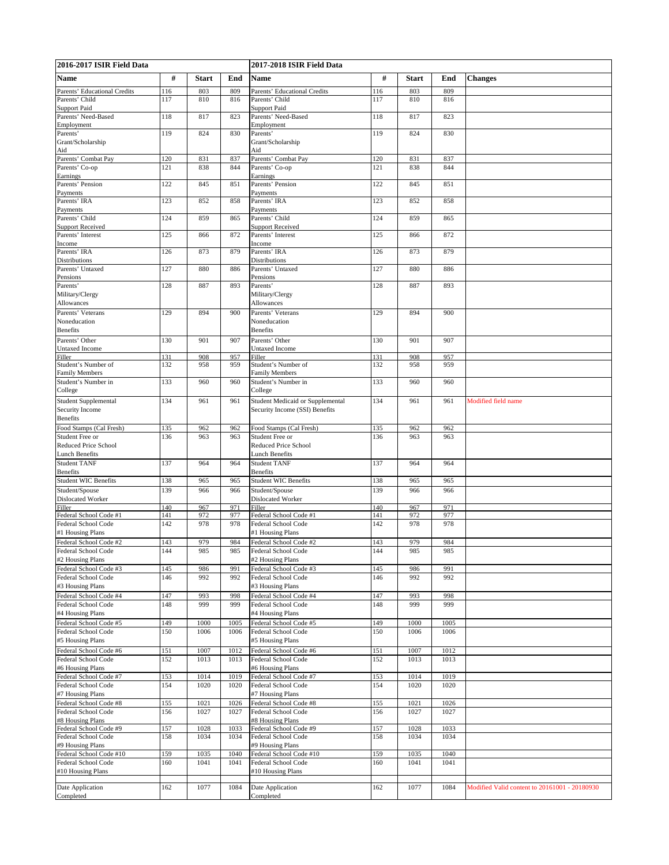| 2016-2017 ISIR Field Data                            |            |              | 2017-2018 ISIR Field Data |                                                                    |            |              |              |                                               |
|------------------------------------------------------|------------|--------------|---------------------------|--------------------------------------------------------------------|------------|--------------|--------------|-----------------------------------------------|
| <b>Name</b>                                          | #          | <b>Start</b> | End                       | <b>Name</b>                                                        | #          | <b>Start</b> | End          | <b>Changes</b>                                |
| Parents' Educational Credits                         | 116        | 803          | 809                       | Parents' Educational Credits                                       | 116        | 803          | 809          |                                               |
| Parents' Child                                       | 117        | 810          | 816                       | Parents' Child                                                     | 117        | 810          | 816          |                                               |
| <b>Support Paid</b><br>Parents' Need-Based           | 118        | 817          | 823                       | <b>Support Paid</b><br>Parents' Need-Based                         | 118        | 817          | 823          |                                               |
| Employment                                           |            |              |                           | Employment                                                         |            |              |              |                                               |
| Parents'<br>Grant/Scholarship                        | 119        | 824          | 830                       | Parents'<br>Grant/Scholarship                                      | 119        | 824          | 830          |                                               |
| Aid<br>Parents' Combat Pay                           | 120        | 831          | 837                       | Aid<br>Parents' Combat Pay                                         | 120        | 831          | 837          |                                               |
| Parents' Co-op                                       | 121        | 838          | 844                       | Parents' Co-op                                                     | 121        | 838          | 844          |                                               |
| Earnings                                             |            | 845          |                           | Earnings                                                           |            |              |              |                                               |
| Parents' Pension<br>Payments                         | 122        |              | 851                       | Parents' Pension<br>Payments                                       | 122        | 845          | 851          |                                               |
| Parents' IRA<br>Payments                             | 123        | 852          | 858                       | Parents' IRA<br>Payments                                           | 123        | 852          | 858          |                                               |
| Parents' Child                                       | 124        | 859          | 865                       | Parents' Child                                                     | 124        | 859          | 865          |                                               |
| <b>Support Received</b><br>Parents' Interest         | 125        | 866          | 872                       | <b>Support Received</b><br>Parents' Interest                       | 125        | 866          | 872          |                                               |
| Income                                               |            |              |                           | Income                                                             |            |              |              |                                               |
| Parents' IRA                                         | 126        | 873          | 879                       | Parents' IRA                                                       | 126        | 873          | 879          |                                               |
| <b>Distributions</b><br>Parents' Untaxed             | 127        | 880          | 886                       | <b>Distributions</b><br>Parents' Untaxed                           | 127        | 880          | 886          |                                               |
| Pensions                                             |            |              |                           | Pensions                                                           |            |              |              |                                               |
| Parents'<br>Military/Clergy                          | 128        | 887          | 893                       | Parents'<br>Military/Clergy                                        | 128        | 887          | 893          |                                               |
| Allowances                                           |            |              |                           | Allowances                                                         |            |              |              |                                               |
| Parents' Veterans                                    | 129        | 894          | 900                       | Parents' Veterans                                                  | 129        | 894          | 900          |                                               |
| Noneducation                                         |            |              |                           | Noneducation                                                       |            |              |              |                                               |
| <b>Benefits</b><br>Parents' Other                    | 130        | 901          | 907                       | <b>Benefits</b><br>Parents' Other                                  | 130        | 901          | 907          |                                               |
| <b>Untaxed Income</b>                                |            |              |                           | Untaxed Income                                                     |            |              |              |                                               |
| Filler                                               | 131        | 908          | 957                       | Filler                                                             | 131<br>132 | 908          | 957          |                                               |
| Student's Number of<br><b>Family Members</b>         | 132        | 958          | 959                       | Student's Number of<br><b>Family Members</b>                       |            | 958          | 959          |                                               |
| Student's Number in                                  | 133        | 960          | 960                       | Student's Number in                                                | 133        | 960          | 960          |                                               |
| College                                              |            |              |                           | College                                                            |            |              |              |                                               |
| <b>Student Supplemental</b><br>Security Income       | 134        | 961          | 961                       | Student Medicaid or Supplemental<br>Security Income (SSI) Benefits | 134        | 961          | 961          | Modified field name                           |
| <b>Benefits</b>                                      |            |              |                           |                                                                    |            |              |              |                                               |
| Food Stamps (Cal Fresh)                              | 135        | 962          | 962                       | Food Stamps (Cal Fresh)                                            | 135        | 962          | 962          |                                               |
| Student Free or                                      | 136        | 963          | 963                       | Student Free or                                                    | 136        | 963          | 963          |                                               |
| <b>Reduced Price School</b><br><b>Lunch Benefits</b> |            |              |                           | <b>Reduced Price School</b><br><b>Lunch Benefits</b>               |            |              |              |                                               |
| <b>Student TANF</b>                                  | 137        | 964          | 964                       | <b>Student TANF</b>                                                | 137        | 964          | 964          |                                               |
| <b>Benefits</b>                                      |            |              |                           | Benefits                                                           |            |              |              |                                               |
| <b>Student WIC Benefits</b><br>Student/Spouse        | 138<br>139 | 965<br>966   | 965<br>966                | <b>Student WIC Benefits</b><br>Student/Spouse                      | 138<br>139 | 965<br>966   | 965<br>966   |                                               |
| Dislocated Worker                                    |            |              |                           | Dislocated Worker                                                  |            |              |              |                                               |
| Filler<br>Federal School Code #1                     | 140        | 967<br>972   | 971                       | Filler<br>Federal School Code #1                                   | 140        | 967<br>972   | 971<br>977   |                                               |
| Federal School Code                                  | 141<br>142 | 978          | 977<br>978                | Federal School Code                                                | 141<br>142 | 978          | 978          |                                               |
| #1 Housing Plans                                     |            |              |                           | #1 Housing Plans                                                   |            |              |              |                                               |
| Federal School Code #2                               | 143        | 979          | 984                       | Federal School Code #2                                             | 143        | 979          | 984          |                                               |
| Federal School Code<br>#2 Housing Plans              | 144        | 985          | 985                       | Federal School Code<br>#2 Housing Plans                            | 144        | 985          | 985          |                                               |
| Federal School Code #3                               | 145        | 986          | 991                       | Federal School Code #3                                             | 145        | 986          | 991          |                                               |
| Federal School Code                                  | 146        | 992          | 992                       | Federal School Code                                                | 146        | 992          | 992          |                                               |
| #3 Housing Plans<br>Federal School Code #4           |            |              | 998                       | #3 Housing Plans<br>Federal School Code #4                         |            |              |              |                                               |
| Federal School Code                                  | 147<br>148 | 993<br>999   | 999                       | Federal School Code                                                | 147<br>148 | 993<br>999   | 998<br>999   |                                               |
| #4 Housing Plans                                     |            |              |                           | #4 Housing Plans                                                   |            |              |              |                                               |
| Federal School Code #5                               | 149        | 1000         | 1005                      | Federal School Code #5                                             | 149        | 1000         | 1005         |                                               |
| Federal School Code<br>#5 Housing Plans              | 150        | 1006         | 1006                      | Federal School Code<br>#5 Housing Plans                            | 150        | 1006         | 1006         |                                               |
| Federal School Code #6                               | 151        | 1007         | 1012                      | Federal School Code #6                                             | 151        | 1007         | 1012         |                                               |
| Federal School Code                                  | 152        | 1013         | 1013                      | Federal School Code                                                | 152        | 1013         | 1013         |                                               |
| #6 Housing Plans<br>Federal School Code #7           | 153        | 1014         | 1019                      | #6 Housing Plans<br>Federal School Code #7                         | 153        | 1014         | 1019         |                                               |
| Federal School Code                                  | 154        | 1020         | 1020                      | Federal School Code                                                | 154        | 1020         | 1020         |                                               |
| #7 Housing Plans                                     |            |              |                           | #7 Housing Plans                                                   |            |              |              |                                               |
| Federal School Code #8<br>Federal School Code        | 155<br>156 | 1021<br>1027 | 1026<br>1027              | Federal School Code #8<br>Federal School Code                      | 155<br>156 | 1021<br>1027 | 1026<br>1027 |                                               |
| #8 Housing Plans                                     |            |              |                           | #8 Housing Plans                                                   |            |              |              |                                               |
| Federal School Code #9                               | 157        | 1028         | 1033                      | Federal School Code #9                                             | 157        | 1028         | 1033         |                                               |
| Federal School Code<br>#9 Housing Plans              | 158        | 1034         | 1034                      | Federal School Code<br>#9 Housing Plans                            | 158        | 1034         | 1034         |                                               |
| Federal School Code #10                              | 159        | 1035         | 1040                      | Federal School Code #10                                            | 159        | 1035         | 1040         |                                               |
| Federal School Code                                  | 160        | 1041         | 1041                      | Federal School Code                                                | 160        | 1041         | 1041         |                                               |
| #10 Housing Plans                                    |            |              |                           | #10 Housing Plans                                                  |            |              |              |                                               |
| Date Application                                     | 162        | 1077         | 1084                      | Date Application                                                   | 162        | 1077         | 1084         | Modified Valid content to 20161001 - 20180930 |
| Completed                                            |            |              |                           | Completed                                                          |            |              |              |                                               |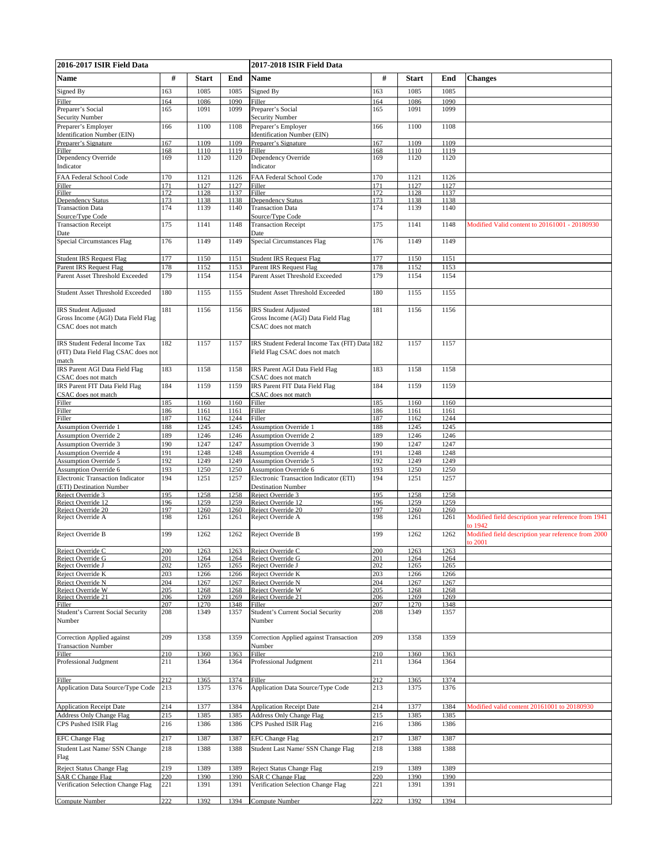| 2016-2017 ISIR Field Data                                         |            |              | 2017-2018 ISIR Field Data |                                                                  |            |              |              |                                                                |
|-------------------------------------------------------------------|------------|--------------|---------------------------|------------------------------------------------------------------|------------|--------------|--------------|----------------------------------------------------------------|
| <b>Name</b>                                                       | #          | <b>Start</b> | End                       | Name                                                             | #          | <b>Start</b> | End          | <b>Changes</b>                                                 |
| Signed By                                                         | 163        | 1085         | 1085                      | Signed By                                                        | 163        | 1085         | 1085         |                                                                |
| Filler                                                            | 164        | 1086         | 1090                      | Filler                                                           | 164        | 1086         | 1090         |                                                                |
| Preparer's Social                                                 | 165        | 1091         | 1099                      | Preparer's Social                                                | 165        | 1091         | 1099         |                                                                |
| <b>Security Number</b>                                            |            |              |                           | <b>Security Number</b>                                           |            |              |              |                                                                |
| Preparer's Employer                                               | 166        | 1100         | 1108                      | Preparer's Employer                                              | 166        | 1100         | 1108         |                                                                |
| Identification Number (EIN)<br>Preparer's Signature               | 167        | 1109         | 1109                      | Identification Number (EIN)<br>Preparer's Signature              | 167        | 1109         | 1109         |                                                                |
| Filler                                                            | 168        | 1110         | 1119                      | <b>Filler</b>                                                    | 168        | 1110         | 1119         |                                                                |
| Dependency Override                                               | 169        | 1120         | 1120                      | Dependency Override                                              | 169        | 1120         | 1120         |                                                                |
| Indicator                                                         |            |              |                           | Indicator                                                        |            |              |              |                                                                |
| FAA Federal School Code<br>Filler                                 | 170<br>171 | 1121<br>1127 | 1126<br>1127              | FAA Federal School Code<br>Filler                                | 170<br>171 | 1121<br>1127 | 1126<br>1127 |                                                                |
| Filler                                                            | 172        | 1128         | 1137                      | Filler                                                           | 172        | 1128         | 1137         |                                                                |
| Dependency Status                                                 | 173        | 1138         | 1138                      | Dependency Status                                                | 173        | 1138         | 1138         |                                                                |
| <b>Transaction Data</b>                                           | 174        | 1139         | 1140                      | <b>Transaction Data</b>                                          | 174        | 1139         | 1140         |                                                                |
| Source/Type Code<br><b>Transaction Receipt</b>                    | 175        | 1141         | 1148                      | Source/Type Code<br><b>Transaction Receipt</b>                   | 175        | 1141         | 1148         | Modified Valid content to 20161001 - 20180930                  |
| Date                                                              |            |              |                           | Date                                                             |            |              |              |                                                                |
| Special Circumstances Flag                                        | 176        | 1149         | 1149                      | Special Circumstances Flag                                       | 176        | 1149         | 1149         |                                                                |
|                                                                   |            |              |                           |                                                                  |            |              |              |                                                                |
| <b>Student IRS Request Flag</b>                                   | 177<br>178 | 1150<br>1152 | 1151<br>1153              | <b>Student IRS Request Flag</b>                                  | 177<br>178 | 1150<br>1152 | 1151<br>1153 |                                                                |
| Parent IRS Request Flag<br>Parent Asset Threshold Exceeded        | 179        | 1154         | 1154                      | Parent IRS Request Flag<br>Parent Asset Threshold Exceeded       | 179        | 1154         | 1154         |                                                                |
|                                                                   |            |              |                           |                                                                  |            |              |              |                                                                |
| <b>Student Asset Threshold Exceeded</b>                           | 180        | 1155         | 1155                      | Student Asset Threshold Exceeded                                 | 180        | 1155         | 1155         |                                                                |
|                                                                   |            |              |                           |                                                                  |            |              |              |                                                                |
| <b>IRS</b> Student Adjusted<br>Gross Income (AGI) Data Field Flag | 181        | 1156         | 1156                      | <b>RS</b> Student Adjusted<br>Gross Income (AGI) Data Field Flag | 181        | 1156         | 1156         |                                                                |
| CSAC does not match                                               |            |              |                           | CSAC does not match                                              |            |              |              |                                                                |
|                                                                   |            |              |                           |                                                                  |            |              |              |                                                                |
| <b>IRS</b> Student Federal Income Tax                             | 182        | 1157         | 1157                      | IRS Student Federal Income Tax (FIT) Data 182                    |            | 1157         | 1157         |                                                                |
| (FIT) Data Field Flag CSAC does not                               |            |              |                           | Field Flag CSAC does not match                                   |            |              |              |                                                                |
| match<br>IRS Parent AGI Data Field Flag                           | 183        | 1158         | 1158                      | IRS Parent AGI Data Field Flag                                   | 183        | 1158         | 1158         |                                                                |
| CSAC does not match                                               |            |              |                           | CSAC does not match                                              |            |              |              |                                                                |
| IRS Parent FIT Data Field Flag                                    | 184        | 1159         | 1159                      | IRS Parent FIT Data Field Flag                                   | 184        | 1159         | 1159         |                                                                |
| CSAC does not match                                               |            |              |                           | CSAC does not match                                              |            |              |              |                                                                |
| Filler                                                            | 185<br>186 | 1160<br>1161 | 1160<br>1161              | Filler                                                           | 185<br>186 | 1160<br>1161 | 1160<br>1161 |                                                                |
| Filler<br>Filler                                                  | 187        | 1162         | 1244                      | Filler<br>Filler                                                 | 187        | 1162         | 1244         |                                                                |
| <b>Assumption Override 1</b>                                      | 188        | 1245         | 1245                      | <b>Assumption Override 1</b>                                     | 188        | 1245         | 1245         |                                                                |
| <b>Assumption Override 2</b>                                      | 189        | 1246         | 1246                      | <b>Assumption Override 2</b>                                     | 189        | 1246         | 1246         |                                                                |
| <b>Assumption Override 3</b>                                      | 190        | 1247         | 1247                      | <b>Assumption Override 3</b>                                     | 190        | 1247         | 1247         |                                                                |
| <b>Assumption Override 4</b>                                      | 191        | 1248         | 1248                      | <b>Assumption Override 4</b>                                     | 191        | 1248         | 1248         |                                                                |
| Assumption Override 5                                             | 192        | 1249         | 1249                      | <b>Assumption Override 5</b>                                     | 192        | 1249         | 1249         |                                                                |
| Assumption Override 6                                             | 193        | 1250         | 1250                      | <b>Assumption Override 6</b>                                     | 193        | 1250         | 1250         |                                                                |
| <b>Electronic Transaction Indicator</b>                           | 194        | 1251         | 1257                      | Electronic Transaction Indicator (ETI)                           | 194        | 1251         | 1257         |                                                                |
| (ETI) Destination Number                                          |            |              |                           | Destination Number                                               |            |              |              |                                                                |
| Reject Override 3                                                 | 195        | 1258         | 1258                      | Reject Override 3                                                | 195        | 1258         | 1258         |                                                                |
| Reject Override 12                                                | 196        | 1259         | 1259                      | Reject Override 12                                               | 196        | 1259         | 1259         |                                                                |
| Reject Override 20                                                | 197        | 1260         | 1260                      | Reject Override 20                                               | 197        | 1260         | 1260         |                                                                |
| Reject Override A                                                 | 198        | 1261         | 1261                      | Reject Override A                                                | 198        | 1261         | 1261         | Modified field description year reference from 1941<br>to 1942 |
| Reject Override B                                                 | 199        | 1262         | 1262                      | Reject Override B                                                | 199        | 1262         | 1262         | Modified field description year reference from 2000            |
|                                                                   |            |              |                           |                                                                  |            |              |              | to 2001                                                        |
| Reject Override C                                                 | 200        | 1263         | 1263                      | Reiect Override C                                                | 200        | 1263         | 1263         |                                                                |
| Reject Override G                                                 | 201        | 1264         | 1264                      | Reject Override G                                                | 201        | 1264         | 1264         |                                                                |
| Reject Override J                                                 | 202        | 1265         | 1265                      | Reject Override J                                                | 202<br>203 | 1265         | 1265         |                                                                |
| Reject Override K<br>Reject Override N                            | 203<br>204 | 1266<br>1267 | 1266<br>1267              | Reject Override K<br>Reject Override N                           | 204        | 1266<br>1267 | 1266<br>1267 |                                                                |
| Reject Override W                                                 | 205        | 1268         | 1268                      | Reject Override W                                                | 205        | 1268         | 1268         |                                                                |
| Reject Override 21                                                | 206        | 1269         | 1269                      | Reject Override 21                                               | 206        | 1269         | 1269         |                                                                |
| Filler                                                            | 207        | 1270         | 1348                      | Filler                                                           | 207        | 1270         | 1348         |                                                                |
| Student's Current Social Security                                 | 208        | 1349         | 1357                      | Student's Current Social Security                                | 208        | 1349         | 1357         |                                                                |
| Number                                                            |            |              |                           | Number                                                           |            |              |              |                                                                |
| Correction Applied against                                        | 209        | 1358         | 1359                      | Correction Applied against Transaction                           | 209        | 1358         | 1359         |                                                                |
| <b>Transaction Number</b>                                         |            |              |                           | Number                                                           |            |              |              |                                                                |
| Filler                                                            | 210        | 1360         | 1363                      | Filler                                                           | 210        | 1360         | 1363         |                                                                |
| Professional Judgment                                             | 211        | 1364         | 1364                      | Professional Judgment                                            | 211        | 1364         | 1364         |                                                                |
| Filler                                                            | 212        | 1365         | 1374                      | Filler                                                           | 212        | 1365         | 1374         |                                                                |
| Application Data Source/Type Code                                 | 213        | 1375         | 1376                      | Application Data Source/Type Code                                | 213        | 1375         | 1376         |                                                                |
|                                                                   |            |              |                           |                                                                  |            |              |              |                                                                |
| <b>Application Receipt Date</b>                                   | 214        | 1377         | 1384                      | <b>Application Receipt Date</b>                                  | 214        | 1377         | 1384         | Modified valid content 20161001 to 20180930                    |
| Address Only Change Flag                                          | 215        | 1385         | 1385                      | <b>Address Only Change Flag</b>                                  | 215        | 1385         | 1385         |                                                                |
| CPS Pushed ISIR Flag                                              | 216        | 1386         | 1386                      | CPS Pushed ISIR Flag                                             | 216        | 1386         | 1386         |                                                                |
| <b>EFC Change Flag</b>                                            | 217        | 1387         | 1387                      | <b>EFC Change Flag</b>                                           | 217        | 1387         | 1387         |                                                                |
| Student Last Name/ SSN Change                                     | 218        | 1388         | 1388                      | Student Last Name/ SSN Change Flag                               | 218        | 1388         | 1388         |                                                                |
| Flag                                                              |            |              |                           |                                                                  |            |              |              |                                                                |
| Reject Status Change Flag                                         | 219        | 1389         | 1389                      | Reject Status Change Flag                                        | 219        | 1389         | 1389         |                                                                |
| <b>SAR C Change Flag</b>                                          | 220        | 1390         | 1390                      | <b>SAR C Change Flag</b>                                         | 220        | 1390         | 1390         |                                                                |
| Verification Selection Change Flag                                | 221        | 1391         | 1391                      | Verification Selection Change Flag                               | 221        | 1391         | 1391         |                                                                |
| Compute Number                                                    | 222        | 1392         | 1394                      | Compute Number                                                   | 222        | 1392         | 1394         |                                                                |
|                                                                   |            |              |                           |                                                                  |            |              |              |                                                                |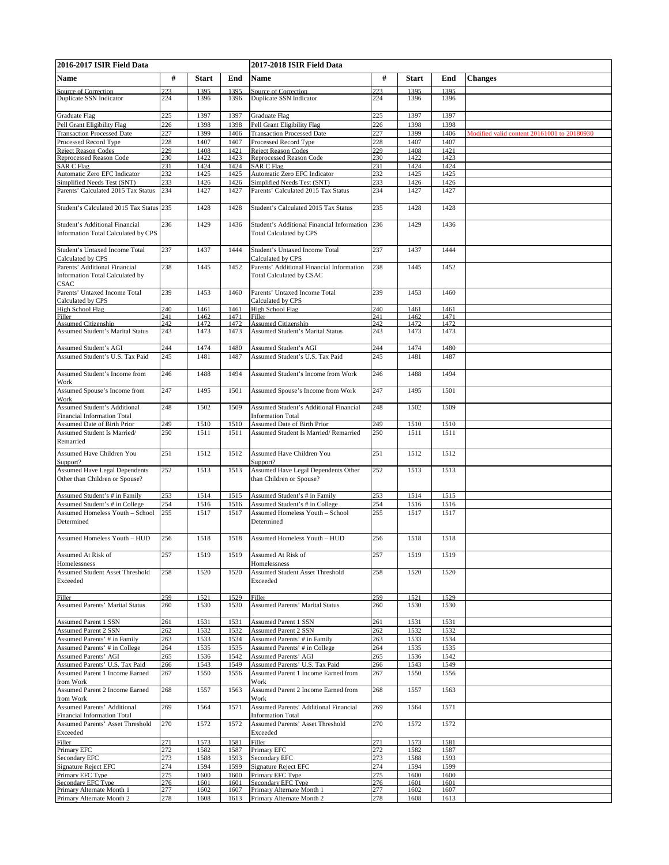| 2016-2017 ISIR Field Data                                                |            |              |              | 2017-2018 ISIR Field Data                                                    |            |              |              |                                             |  |
|--------------------------------------------------------------------------|------------|--------------|--------------|------------------------------------------------------------------------------|------------|--------------|--------------|---------------------------------------------|--|
| Name                                                                     | #          | <b>Start</b> | End          | Name                                                                         | #          | <b>Start</b> | End          | <b>Changes</b>                              |  |
| Source of Correction                                                     | 223        | 1395         | 1395         | Source of Correction                                                         | 223        | 1395         | 1395         |                                             |  |
| Duplicate SSN Indicator                                                  | 224        | 1396         | 1396         | Duplicate SSN Indicator                                                      | 224        | 1396         | 1396         |                                             |  |
|                                                                          |            |              |              |                                                                              |            |              |              |                                             |  |
| Graduate Flag                                                            | 225        | 1397         | 1397         | Graduate Flag                                                                | 225        | 1397         | 1397         |                                             |  |
| Pell Grant Eligibility Flag                                              | 226<br>227 | 1398<br>1399 | 1398<br>1406 | Pell Grant Eligibility Flag                                                  | 226<br>227 | 1398<br>1399 | 1398<br>1406 | Modified valid content 20161001 to 20180930 |  |
| <b>Transaction Processed Date</b><br>Processed Record Type               | 228        | 1407         | 1407         | <b>Transaction Processed Date</b><br>Processed Record Type                   | 228        | 1407         | 1407         |                                             |  |
| <b>Reject Reason Codes</b>                                               | 229        | 1408         | 1421         | Reject Reason Codes                                                          | 229        | 1408         | 1421         |                                             |  |
| Reprocessed Reason Code                                                  | 230        | 1422         | 1423         | Reprocessed Reason Code                                                      | 230        | 1422         | 1423         |                                             |  |
| <b>SAR C Flag</b>                                                        | 231        | 1424         | 1424         | <b>SAR C Flag</b>                                                            | 231        | 1424         | 1424         |                                             |  |
| Automatic Zero EFC Indicator<br>Simplified Needs Test (SNT)              | 232        | 1425         | 1425         | Automatic Zero EFC Indicator                                                 | 232        | 1425         | 1425         |                                             |  |
| Parents' Calculated 2015 Tax Status                                      | 233<br>234 | 1426<br>1427 | 1426<br>1427 | Simplified Needs Test (SNT)<br>Parents' Calculated 2015 Tax Status           | 233<br>234 | 1426<br>1427 | 1426<br>1427 |                                             |  |
|                                                                          |            |              |              |                                                                              |            |              |              |                                             |  |
| Student's Calculated 2015 Tax Status                                     | 235        | 1428         | 1428         | Student's Calculated 2015 Tax Status                                         | 235        | 1428         | 1428         |                                             |  |
| Student's Additional Financial<br>Information Total Calculated by CPS    | 236        | 1429         | 1436         | Student's Additional Financial Information<br><b>Total Calculated by CPS</b> | 236        | 1429         | 1436         |                                             |  |
| Student's Untaxed Income Total<br>Calculated by CPS                      | 237        | 1437         | 1444         | Student's Untaxed Income Total<br>Calculated by CPS                          | 237        | 1437         | 1444         |                                             |  |
| Parents' Additional Financial                                            | 238        | 1445         | 1452         | Parents' Additional Financial Information                                    | 238        | 1445         | 1452         |                                             |  |
| Information Total Calculated by<br><b>CSAC</b>                           |            |              |              | Total Calculated by CSAC                                                     |            |              |              |                                             |  |
| Parents' Untaxed Income Total                                            | 239        | 1453         | 1460         | Parents' Untaxed Income Total                                                | 239        | 1453         | 1460         |                                             |  |
| Calculated by CPS                                                        |            |              |              | Calculated by CPS                                                            |            |              |              |                                             |  |
| <b>High School Flag</b><br>Filler                                        | 240<br>241 | 1461<br>1462 | 1461<br>1471 | High School Flag<br>Filler                                                   | 240<br>241 | 1461<br>1462 | 1461<br>1471 |                                             |  |
| <b>Assumed Citizenship</b>                                               | 242        | 1472         | 1472         | <b>Assumed Citizenship</b>                                                   | 242        | 1472         | 1472         |                                             |  |
| <b>Assumed Student's Marital Status</b>                                  | 243        | 1473         | 1473         | <b>Assumed Student's Marital Status</b>                                      | 243        | 1473         | 1473         |                                             |  |
|                                                                          |            |              |              |                                                                              |            |              |              |                                             |  |
| Assumed Student's AGI<br>Assumed Student's U.S. Tax Paid                 | 244<br>245 | 1474<br>1481 | 1480<br>1487 | <b>Assumed Student's AGI</b><br>Assumed Student's U.S. Tax Paid              | 244<br>245 | 1474<br>1481 | 1480<br>1487 |                                             |  |
| Assumed Student's Income from                                            | 246        | 1488         | 1494         | Assumed Student's Income from Work                                           | 246        | 1488         | 1494         |                                             |  |
| Work<br>Assumed Spouse's Income from                                     | 247        | 1495         | 1501         | Assumed Spouse's Income from Work                                            | 247        | 1495         | 1501         |                                             |  |
| Work                                                                     |            |              |              |                                                                              |            |              |              |                                             |  |
| Assumed Student's Additional<br><b>Financial Information Total</b>       | 248        | 1502         | 1509         | Assumed Student's Additional Financial<br><b>Information Total</b>           | 248        | 1502         | 1509         |                                             |  |
| Assumed Date of Birth Prior                                              | 249        | 1510         | 1510         | Assumed Date of Birth Prior                                                  | 249        | 1510         | 1510         |                                             |  |
| Assumed Student Is Married/<br>Remarried                                 | 250        | 1511         | 1511         | Assumed Student Is Married/Remarried                                         | 250        | 1511         | 1511         |                                             |  |
| <b>Assumed Have Children You</b><br>Support?                             | 251        | 1512         | 1512         | <b>Assumed Have Children You</b><br>Support?                                 | 251        | 1512         | 1512         |                                             |  |
| <b>Assumed Have Legal Dependents</b><br>Other than Children or Spouse?   | 252        | 1513         | 1513         | Assumed Have Legal Dependents Other<br>than Children or Spouse?              | 252        | 1513         | 1513         |                                             |  |
|                                                                          |            |              |              |                                                                              |            |              |              |                                             |  |
| Assumed Student's # in Family                                            | 253<br>254 | 1514         | 1515<br>1516 | Assumed Student's # in Family                                                | 253<br>254 | 1514         | 1515<br>1516 |                                             |  |
| Assumed Student's # in College<br><b>Assumed Homeless Youth - School</b> | 255        | 1516<br>1517 | 1517         | Assumed Student's # in College<br><b>Assumed Homeless Youth - School</b>     | 255        | 1516<br>1517 | 1517         |                                             |  |
| Determined                                                               |            |              |              | Determined                                                                   |            |              |              |                                             |  |
| Assumed Homeless Youth - HUD                                             | 256        | 1518         | 1518         | <b>Assumed Homeless Youth - HUD</b>                                          | 256        | 1518         | 1518         |                                             |  |
| Assumed At Risk of                                                       | 257        | 1519         | 1519         | Assumed At Risk of                                                           | 257        | 1519         | 1519         |                                             |  |
| Homelessness<br>Assumed Student Asset Threshold                          | 258        | 1520         | 1520         | Homelessness<br>Assumed Student Asset Threshold                              | 258        | 1520         | 1520         |                                             |  |
| Exceeded                                                                 |            |              |              | Exceeded                                                                     |            |              |              |                                             |  |
| Filler                                                                   | 259        | 1521         | 1529         | Filler                                                                       | 259        | 1521         | 1529         |                                             |  |
| <b>Assumed Parents' Marital Status</b>                                   | 260        | 1530         | 1530         | <b>Assumed Parents' Marital Status</b>                                       | 260        | 1530         | 1530         |                                             |  |
| <b>Assumed Parent 1 SSN</b>                                              | 261        | 1531         | 1531         | <b>Assumed Parent 1 SSN</b>                                                  | 261        | 1531         | 1531         |                                             |  |
| <b>Assumed Parent 2 SSN</b>                                              | 262        | 1532         | 1532         | <b>Assumed Parent 2 SSN</b>                                                  | 262        | 1532         | 1532         |                                             |  |
| Assumed Parents' # in Family                                             | 263        | 1533         | 1534         | Assumed Parents' # in Family                                                 | 263        | 1533         | 1534         |                                             |  |
| Assumed Parents' # in College                                            | 264        | 1535         | 1535         | Assumed Parents' # in College                                                | 264        | 1535         | 1535         |                                             |  |
| <b>Assumed Parents' AGI</b>                                              | 265        | 1536         | 1542         | <b>Assumed Parents' AGI</b>                                                  | 265        | 1536         | 1542         |                                             |  |
| Assumed Parents' U.S. Tax Paid                                           | 266        | 1543         | 1549         | Assumed Parents' U.S. Tax Paid                                               | 266        | 1543         | 1549         |                                             |  |
| Assumed Parent 1 Income Earned                                           | 267        | 1550         | 1556         | Assumed Parent 1 Income Earned from                                          | 267        | 1550         | 1556         |                                             |  |
| from Work<br>Assumed Parent 2 Income Earned                              | 268        | 1557         | 1563         | Work<br>Assumed Parent 2 Income Earned from                                  | 268        | 1557         | 1563         |                                             |  |
| from Work<br>Assumed Parents' Additional                                 | 269        | 1564         | 1571         | Work<br>Assumed Parents' Additional Financial                                | 269        | 1564         | 1571         |                                             |  |
| <b>Financial Information Total</b>                                       |            |              |              | <b>Information Total</b>                                                     |            |              |              |                                             |  |
| Assumed Parents' Asset Threshold<br>Exceeded                             | 270        | 1572         | 1572         | Assumed Parents' Asset Threshold<br>Exceeded                                 | 270        | 1572         | 1572         |                                             |  |
| Filler                                                                   | 271        | 1573         | 1581         | Filler                                                                       | 271        | 1573         | 1581         |                                             |  |
| Primary EFC                                                              | 272        | 1582         | 1587         | Primary EFC                                                                  | 272        | 1582         | 1587         |                                             |  |
| Secondary EFC                                                            | 273<br>274 | 1588         | 1593<br>1599 | Secondary EFC                                                                | 273        | 1588<br>1594 | 1593<br>1599 |                                             |  |
| <b>Signature Reject EFC</b><br>Primary EFC Type                          | 275        | 1594<br>1600 | 1600         | Signature Reject EFC<br>Primary EFC Type                                     | 274<br>275 | 1600         | 1600         |                                             |  |
| Secondary EFC Type                                                       | 276        | 1601         | 1601         | Secondary EFC Type                                                           | 276        | 1601         | 1601         |                                             |  |
| Primary Alternate Month 1                                                | 277        | 1602         | 1607         | Primary Alternate Month 1                                                    | 277        | 1602         | 1607         |                                             |  |
| Primary Alternate Month 2                                                | 278        | 1608         | 1613         | Primary Alternate Month 2                                                    | 278        | 1608         | 1613         |                                             |  |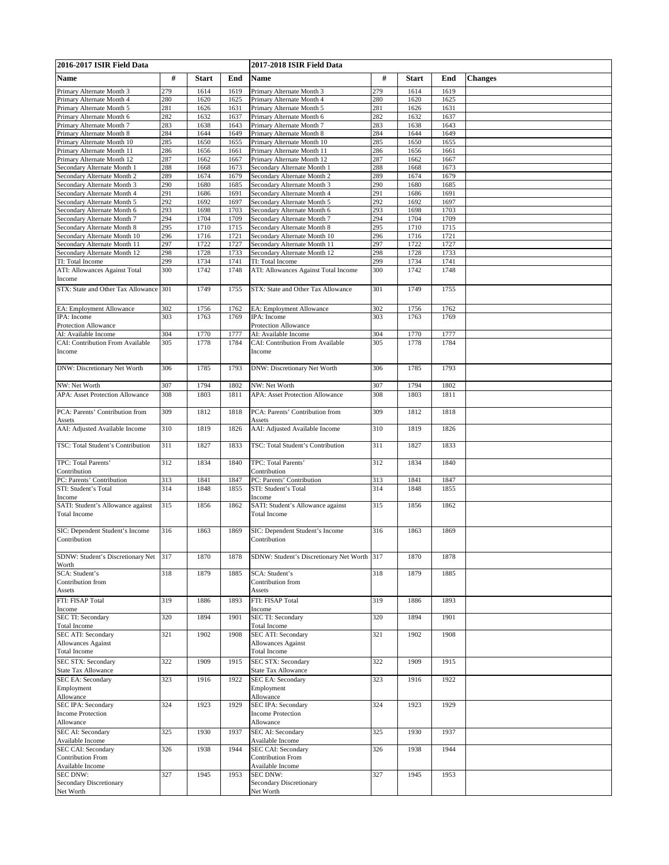| 2016-2017 ISIR Field Data                                                   |            |              | 2017-2018 ISIR Field Data |                                                                             |            |              |              |                |
|-----------------------------------------------------------------------------|------------|--------------|---------------------------|-----------------------------------------------------------------------------|------------|--------------|--------------|----------------|
| Name                                                                        | #          | <b>Start</b> | End                       | Name                                                                        | #          | <b>Start</b> | End          | <b>Changes</b> |
| Primary Alternate Month 3                                                   | 279        | 1614         | 1619                      | Primary Alternate Month 3                                                   | 279        | 1614         | 1619         |                |
| Primary Alternate Month 4                                                   | 280        | 1620         | 1625                      | Primary Alternate Month 4                                                   | 280        | 1620         | 1625         |                |
| Primary Alternate Month 5                                                   | 281        | 1626         | 1631                      | Primary Alternate Month 5                                                   | 281        | 1626         | 1631         |                |
| Primary Alternate Month 6                                                   | 282        | 1632         | 1637                      | Primary Alternate Month 6                                                   | 282        | 1632         | 1637         |                |
| Primary Alternate Month 7<br>Primary Alternate Month 8                      | 283<br>284 | 1638<br>1644 | 1643<br>1649              | Primary Alternate Month 7<br>Primary Alternate Month 8                      | 283<br>284 | 1638<br>1644 | 1643<br>1649 |                |
| Primary Alternate Month 10                                                  | 285        | 1650         | 1655                      | Primary Alternate Month 10                                                  | 285        | 1650         | 1655         |                |
| Primary Alternate Month 11                                                  | 286        | 1656         | 1661                      | Primary Alternate Month 11                                                  | 286        | 1656         | 1661         |                |
| Primary Alternate Month 12                                                  | 287        | 1662         | 1667                      | Primary Alternate Month 12                                                  | 287        | 1662         | 1667         |                |
| Secondary Alternate Month 1<br>Secondary Alternate Month 2                  | 288        | 1668<br>1674 | 1673                      | Secondary Alternate Month 1<br>Secondary Alternate Month 2                  | 288<br>289 | 1668         | 1673         |                |
| Secondary Alternate Month 3                                                 | 289<br>290 | 1680         | 1679<br>1685              | Secondary Alternate Month 3                                                 | 290        | 1674<br>1680 | 1679<br>1685 |                |
| Secondary Alternate Month 4                                                 | 291        | 1686         | 1691                      | Secondary Alternate Month 4                                                 | 291        | 1686         | 1691         |                |
| Secondary Alternate Month 5                                                 | 292        | 1692         | 1697                      | Secondary Alternate Month 5                                                 | 292        | 1692         | 1697         |                |
| Secondary Alternate Month 6                                                 | 293<br>294 | 1698<br>1704 | 1703<br>1709              | Secondary Alternate Month 6                                                 | 293<br>294 | 1698<br>1704 | 1703<br>1709 |                |
| Secondary Alternate Month 7<br>Secondary Alternate Month 8                  | 295        | 1710         | 1715                      | Secondary Alternate Month 7<br>Secondary Alternate Month 8                  | 295        | 1710         | 1715         |                |
| Secondary Alternate Month 10                                                | 296        | 1716         | 1721                      | Secondary Alternate Month 10                                                | 296        | 1716         | 1721         |                |
| Secondary Alternate Month 11                                                | 297        | 1722         | 1727                      | Secondary Alternate Month 11                                                | 297        | 1722         | 1727         |                |
| Secondary Alternate Month 12                                                | 298<br>299 | 1728         | 1733                      | Secondary Alternate Month 12                                                | 298        | 1728         | 1733         |                |
| TI: Total Income<br>ATI: Allowances Against Total                           | 300        | 1734<br>1742 | 1741<br>1748              | TI: Total Income<br>ATI: Allowances Against Total Income                    | 299<br>300 | 1734<br>1742 | 1741<br>1748 |                |
| Income                                                                      |            |              |                           |                                                                             |            |              |              |                |
| STX: State and Other Tax Allowance                                          | 301        | 1749         | 1755                      | STX: State and Other Tax Allowance                                          | 301        | 1749         | 1755         |                |
| EA: Employment Allowance                                                    | 302        | 1756         | 1762                      | EA: Employment Allowance                                                    | 302        | 1756         | 1762         |                |
| IPA: Income                                                                 | 303        | 1763         | 1769                      | IPA: Income                                                                 | 303        | 1763         | 1769         |                |
| Protection Allowance                                                        |            |              |                           | Protection Allowance                                                        |            |              |              |                |
| AI: Available Income<br>CAI: Contribution From Available                    | 304<br>305 | 1770<br>1778 | 1777<br>1784              | AI: Available Income<br>CAI: Contribution From Available                    | 304<br>305 | 1770<br>1778 | 1777<br>1784 |                |
| Income                                                                      |            |              |                           | Income                                                                      |            |              |              |                |
| DNW: Discretionary Net Worth                                                | 306        | 1785         | 1793                      | DNW: Discretionary Net Worth                                                | 306        | 1785         | 1793         |                |
| NW: Net Worth                                                               | 307        | 1794         | 1802                      | NW: Net Worth                                                               | 307        | 1794         | 1802         |                |
| <b>APA: Asset Protection Allowance</b>                                      | 308        | 1803         | 1811                      | <b>APA: Asset Protection Allowance</b>                                      | 308        | 1803         | 1811         |                |
| PCA: Parents' Contribution from<br>Assets<br>AAI: Adjusted Available Income | 309<br>310 | 1812<br>1819 | 1818<br>1826              | PCA: Parents' Contribution from<br>Assets<br>AAI: Adjusted Available Income | 309<br>310 | 1812<br>1819 | 1818<br>1826 |                |
| TSC: Total Student's Contribution                                           | 311        | 1827         | 1833                      | TSC: Total Student's Contribution                                           | 311        | 1827         | 1833         |                |
| TPC: Total Parents'                                                         | 312        | 1834         | 1840                      | TPC: Total Parents'                                                         | 312        | 1834         | 1840         |                |
| Contribution                                                                |            |              |                           | Contribution                                                                |            |              |              |                |
| PC: Parents' Contribution<br>STI: Student's Total                           | 313<br>314 | 1841<br>1848 | 1847<br>1855              | PC: Parents' Contribution<br>STI: Student's Total                           | 313<br>314 | 1841<br>1848 | 1847<br>1855 |                |
| Income                                                                      |            |              |                           | Income                                                                      |            |              |              |                |
| SATI: Student's Allowance against<br><b>Total Income</b>                    | 315        | 1856         | 1862                      | SATI: Student's Allowance against<br><b>Total Income</b>                    | 315        | 1856         | 1862         |                |
| SIC: Dependent Student's Income<br>Contribution                             | 316        | 1863         | 1869                      | SIC: Dependent Student's Income<br>Contribution                             | 316        | 1863         | 1869         |                |
| SDNW: Student's Discretionary Net<br>Worth                                  | 317        | 1870         | 1878                      | SDNW: Student's Discretionary Net Worth 317                                 |            | 1870         | 1878         |                |
| SCA: Student's                                                              | 318        | 1879         | 1885                      | SCA: Student's                                                              | 318        | 1879         | 1885         |                |
| Contribution from<br>Assets                                                 |            |              |                           | Contribution from<br>Assets                                                 |            |              |              |                |
| FTI: FISAP Total<br>Income                                                  | 319        | 1886         | 1893                      | FTI: FISAP Total<br>Income                                                  | 319        | 1886         | 1893         |                |
| <b>SEC TI: Secondary</b><br>Total Income                                    | 320        | 1894         | 1901                      | SEC TI: Secondary<br>Total Income                                           | 320        | 1894         | 1901         |                |
| SEC ATI: Secondary<br><b>Allowances Against</b><br><b>Total Income</b>      | 321        | 1902         | 1908                      | SEC ATI: Secondary<br><b>Allowances Against</b><br><b>Total Income</b>      | 321        | 1902         | 1908         |                |
| SEC STX: Secondary<br><b>State Tax Allowance</b>                            | 322        | 1909         | 1915                      | SEC STX: Secondary<br><b>State Tax Allowance</b>                            | 322        | 1909         | 1915         |                |
| <b>SEC EA: Secondary</b><br>Employment<br>Allowance                         | 323        | 1916         | 1922                      | <b>SEC EA: Secondary</b><br>Employment<br>Allowance                         | 323        | 1916         | 1922         |                |
| SEC IPA: Secondary<br><b>Income Protection</b>                              | 324        | 1923         | 1929                      | SEC IPA: Secondary<br><b>Income Protection</b>                              | 324        | 1923         | 1929         |                |
| Allowance<br><b>SEC AI: Secondary</b>                                       | 325        | 1930         | 1937                      | Allowance<br>SEC AI: Secondary                                              | 325        | 1930         | 1937         |                |
| Available Income                                                            |            |              |                           | Available Income                                                            |            |              |              |                |
| SEC CAI: Secondary<br><b>Contribution From</b><br>Available Income          | 326        | 1938         | 1944                      | SEC CAI: Secondary<br>Contribution From<br>Available Income                 | 326        | 1938         | 1944         |                |
| <b>SEC DNW:</b><br><b>Secondary Discretionary</b>                           | 327        | 1945         | 1953                      | SEC DNW:<br><b>Secondary Discretionary</b>                                  | 327        | 1945         | 1953         |                |
| Net Worth                                                                   |            |              |                           | Net Worth                                                                   |            |              |              |                |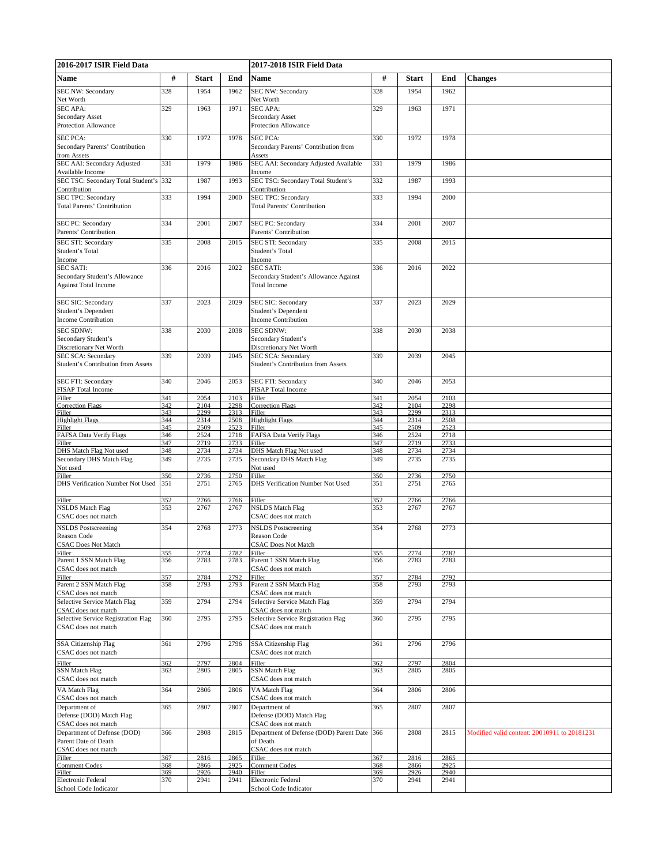| 2016-2017 ISIR Field Data                                |            |              | 2017-2018 ISIR Field Data |                                                          |            |              |              |                                              |
|----------------------------------------------------------|------------|--------------|---------------------------|----------------------------------------------------------|------------|--------------|--------------|----------------------------------------------|
| Name                                                     | #          | <b>Start</b> | End                       | Name                                                     | #          | <b>Start</b> | End          | <b>Changes</b>                               |
| SEC NW: Secondary                                        | 328        | 1954         | 1962                      | <b>SEC NW: Secondary</b>                                 | 328        | 1954         | 1962         |                                              |
| Net Worth                                                |            |              |                           | Net Worth                                                |            |              |              |                                              |
| <b>SEC APA:</b><br>Secondary Asset                       | 329        | 1963         | 1971                      | <b>SEC APA:</b><br><b>Secondary Asset</b>                | 329        | 1963         | 1971         |                                              |
| <b>Protection Allowance</b>                              |            |              |                           | Protection Allowance                                     |            |              |              |                                              |
| <b>SEC PCA:</b>                                          | 330        | 1972         | 1978                      | <b>SEC PCA:</b>                                          | 330        | 1972         | 1978         |                                              |
| Secondary Parents' Contribution                          |            |              |                           | Secondary Parents' Contribution from                     |            |              |              |                                              |
| from Assets                                              |            |              |                           | Assets                                                   |            |              |              |                                              |
| SEC AAI: Secondary Adjusted<br>Available Income          | 331        | 1979         | 1986                      | SEC AAI: Secondary Adjusted Available<br>Income          | 331        | 1979         | 1986         |                                              |
| SEC TSC: Secondary Total Student's 332                   |            | 1987         | 1993                      | SEC TSC: Secondary Total Student's                       | 332        | 1987         | 1993         |                                              |
| Contribution                                             |            |              |                           | Contribution                                             |            |              |              |                                              |
| <b>SEC TPC: Secondary</b><br>Total Parents' Contribution | 333        | 1994         | 2000                      | SEC TPC: Secondary<br><b>Total Parents' Contribution</b> | 333        | 1994         | 2000         |                                              |
|                                                          |            |              |                           |                                                          |            |              |              |                                              |
| SEC PC: Secondary                                        | 334        | 2001         | 2007                      | SEC PC: Secondary                                        | 334        | 2001         | 2007         |                                              |
| Parents' Contribution                                    | 335        | 2008         | 2015                      | Parents' Contribution                                    | 335        | 2008         | 2015         |                                              |
| SEC STI: Secondary<br>Student's Total                    |            |              |                           | SEC STI: Secondary<br>Student's Total                    |            |              |              |                                              |
| Income                                                   |            |              |                           | Income                                                   |            |              |              |                                              |
| <b>SEC SATI:</b><br>Secondary Student's Allowance        | 336        | 2016         | 2022                      | SEC SATI:<br>Secondary Student's Allowance Against       | 336        | 2016         | 2022         |                                              |
| <b>Against Total Income</b>                              |            |              |                           | <b>Total Income</b>                                      |            |              |              |                                              |
|                                                          |            |              |                           |                                                          |            |              |              |                                              |
| SEC SIC: Secondary                                       | 337        | 2023         | 2029                      | SEC SIC: Secondary                                       | 337        | 2023         | 2029         |                                              |
| Student's Dependent<br><b>Income Contribution</b>        |            |              |                           | Student's Dependent<br><b>Income Contribution</b>        |            |              |              |                                              |
| <b>SEC SDNW:</b>                                         | 338        | 2030         | 2038                      | <b>SEC SDNW:</b>                                         | 338        | 2030         | 2038         |                                              |
| Secondary Student's                                      |            |              |                           | Secondary Student's                                      |            |              |              |                                              |
| Discretionary Net Worth<br>SEC SCA: Secondary            | 339        | 2039         | 2045                      | Discretionary Net Worth<br>SEC SCA: Secondary            | 339        | 2039         | 2045         |                                              |
| Student's Contribution from Assets                       |            |              |                           | Student's Contribution from Assets                       |            |              |              |                                              |
|                                                          |            |              |                           |                                                          |            |              |              |                                              |
| SEC FTI: Secondary<br>FISAP Total Income                 | 340        | 2046         | 2053                      | SEC FTI: Secondary<br>FISAP Total Income                 | 340        | 2046         | 2053         |                                              |
| Filler                                                   | 341        | 2054         | 2103                      | Filler                                                   | 341        | 2054         | 2103         |                                              |
| <b>Correction Flags</b><br>Filler                        | 342<br>343 | 2104<br>2299 | 2298<br>2313              | <b>Correction Flags</b><br>Filler                        | 342<br>343 | 2104<br>2299 | 2298<br>2313 |                                              |
| <b>Highlight Flags</b>                                   | 344        | 2314         | 2508                      | <b>Highlight Flags</b>                                   | 344        | 2314         | 2508         |                                              |
| Filler                                                   | 345        | 2509         | 2523                      | Filler                                                   | 345        | 2509         | 2523         |                                              |
| FAFSA Data Verify Flags<br>Filler                        | 346<br>347 | 2524<br>2719 | 2718<br>2733              | FAFSA Data Verify Flags<br>Filler                        | 346<br>347 | 2524<br>2719 | 2718<br>2733 |                                              |
| DHS Match Flag Not used                                  | 348        | 2734         | 2734                      | DHS Match Flag Not used                                  | 348        | 2734         | 2734         |                                              |
| Secondary DHS Match Flag                                 | 349        | 2735         | 2735                      | Secondary DHS Match Flag                                 | 349        | 2735         | 2735         |                                              |
| Not used<br>Filler                                       | 350        | 2736         | 2750                      | Not used<br>Filler                                       | 350        | 2736         | 2750         |                                              |
| DHS Verification Number Not Used                         | 351        | 2751         | 2765                      | DHS Verification Number Not Used                         | 351        | 2751         | 2765         |                                              |
|                                                          | 352        | 2766         | 2766                      | Filler                                                   | 352        | 2766         | 2766         |                                              |
| Filler<br><b>NSLDS</b> Match Flag                        | 353        | 2767         | 2767                      | <b>NSLDS</b> Match Flag                                  | 353        | 2767         | 2767         |                                              |
| CSAC does not match                                      |            |              |                           | CSAC does not match                                      |            |              |              |                                              |
| <b>NSLDS</b> Postscreening                               | 354        | 2768         | 2773                      | <b>NSLDS</b> Postscreening                               | 354        | 2768         | 2773         |                                              |
| Reason Code<br><b>CSAC Does Not Match</b>                |            |              |                           | Reason Code<br><b>CSAC Does Not Match</b>                |            |              |              |                                              |
|                                                          | 355        | 2774         | 2782                      | Filler                                                   | 355        | 2774         | 2782         |                                              |
| Filler<br>Parent 1 SSN Match Flag                        | 356        | 2783         | 2783                      | Parent 1 SSN Match Flag                                  | 356        | 2783         | 2783         |                                              |
| CSAC does not match                                      | 357        | 2784         | 2792                      | CSAC does not match<br>Filler                            | 357        | 2784         | 2792         |                                              |
| Filler<br>Parent 2 SSN Match Flag                        | 358        | 2793         | 2793                      | Parent 2 SSN Match Flag                                  | 358        | 2793         | 2793         |                                              |
| CSAC does not match<br>Selective Service Match Flag      | 359        | 2794         | 2794                      | CSAC does not match<br>Selective Service Match Flag      | 359        | 2794         | 2794         |                                              |
| CSAC does not match                                      |            |              |                           | CSAC does not match                                      |            |              |              |                                              |
| Selective Service Registration Flag                      | 360        | 2795         | 2795                      | Selective Service Registration Flag                      | 360        | 2795         | 2795         |                                              |
| CSAC does not match                                      |            |              |                           | CSAC does not match                                      |            |              |              |                                              |
| <b>SSA Citizenship Flag</b>                              | 361        | 2796         | 2796                      | <b>SSA Citizenship Flag</b>                              | 361        | 2796         | 2796         |                                              |
| CSAC does not match                                      |            |              |                           | CSAC does not match                                      |            |              |              |                                              |
| Filler                                                   | 362        | 2797         | 2804                      | Filler                                                   | 362        | 2797         | 2804         |                                              |
| <b>SSN Match Flag</b><br>CSAC does not match             | 363        | 2805         | 2805                      | SSN Match Flag<br>CSAC does not match                    | 363        | 2805         | 2805         |                                              |
| VA Match Flag                                            | 364        | 2806         | 2806                      | VA Match Flag                                            | 364        | 2806         | 2806         |                                              |
| CSAC does not match                                      |            |              |                           | CSAC does not match                                      |            |              |              |                                              |
| Department of                                            | 365        | 2807         | 2807                      | Department of                                            | 365        | 2807         | 2807         |                                              |
| Defense (DOD) Match Flag<br>CSAC does not match          |            |              |                           | Defense (DOD) Match Flag<br>CSAC does not match          |            |              |              |                                              |
| Department of Defense (DOD)                              | 366        | 2808         | 2815                      | Department of Defense (DOD) Parent Date                  | 366        | 2808         | 2815         | Modified valid content: 20010911 to 20181231 |
| Parent Date of Death                                     |            |              |                           | of Death                                                 |            |              |              |                                              |
| CSAC does not match<br>Filler                            | 367        | 2816         | 2865                      | CSAC does not match<br>Filler                            | 367        | 2816         | 2865         |                                              |
|                                                          | 368        | 2866         | 2925                      | <b>Comment Codes</b>                                     | 368        | 2866         | 2925         |                                              |
| Comment Codes<br>Filler<br>Electronic Federal            | 369<br>370 | 2926<br>2941 | 2940<br>2941              | Filler<br>Electronic Federal                             | 369<br>370 | 2926<br>2941 | 2940<br>2941 |                                              |
| School Code Indicator                                    |            |              |                           | School Code Indicator                                    |            |              |              |                                              |